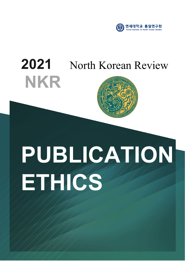

# **2021 NKR** North Korean Review



# **PUBLICATION ETHICS**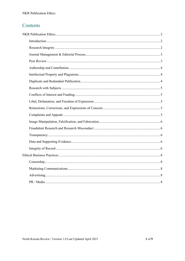### Contents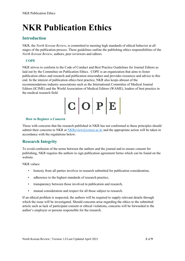# <span id="page-2-0"></span>**NKR Publication Ethics**

#### <span id="page-2-1"></span>**Introduction**

NKR, the *North Korean Review*, is committed to meeting high standards of ethical behavior at all stages of the publication process. These guidelines outline the publishing ethics responsibilities of the *North Korean Review*, authors, peer reviewers and editors.

#### **COPE**

NKR strives to conform to the Code of Conduct and Best Practice Guidelines for Journal Editors as laid out by the Committee on Publication Ethics. COPE is an organization that aims to foster publication ethics and research and publication misconduct and provides resources and advice to this end. In the interest of publication ethics best practice, NKR also keeps abreast of the recommendations industry associations such as the International Committee of Medical Journal Editors (ICJME) and the World Association of Medical Editors (WAME), leaders of best practice in the medical research field.

 $|C|O|P|E|$ 

#### **How to Register a Concern**

Those with concerns that the research published in NKR has not conformed to these principles should submit their concerns to NKR at [NKReview@yonsei.ac.kr](mailto:NKReview@yonsei.ac.kr) and the appropriate action will be taken in accordance with the regulations below.

#### <span id="page-2-2"></span>**Research Integrity**

To avoid confusion of the terms between the authors and the journal and to ensure consent for publishing, NKR requires the authors to sign publication agreement forms which can be found on the website.

NKR values:

- honesty from all parties involves in research submitted for publication consideration,
- adherence to the highest standards of research practice,
- transparency between those involved in publication and research,
- mutual consideration and respect for all those subject to research.

If an ethical problem is suspected, the authors will be required to supply relevant details through which the issue will be investigated. Should concerns arise regarding the ethics to the submitted article such as lack of participant consent or ethical violations, concerns will be forwarded to the author's employer or persons responsible for the research.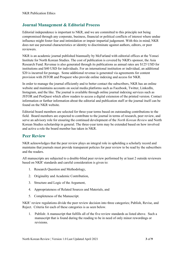#### <span id="page-3-0"></span>**Journal Management & Editorial Process**

Editorial independence is important to NKR, and we are committed to this principle not being compromised through any corporate, business, financial or political conflicts of interest where undue influence might foster fear and intimidation or impair impartial judgement. With this in mind, NKR does not use personal characteristics or identity to discriminate against authors, editors, or peer reviewers.

NKR is an academic journal published biannually by McFarland with editorial offices at the Yonsei Institute for North Korean Studies. The cost of publication is covered by NKR's sponsor, the Asia Research Fund. Revenue is also generated through its publications as annual rates are \$125 USD for institutions and \$40 USD for individuals. For an international institution or individual, an additional \$20 is incurred for postage. Some additional revenue is generated via agreements for content provision with JSTOR and Proquest who provide online indexing and access for NKR.

In order to manage the journal efficiently and to better contact the subscribers, NKR has an online website and maintains accounts on social media platforms such as Facebook, Twitter, LinkedIn, Instagram, and the like. The journal is available through online journal indexing services such as JSTOR and ProQuest which allow readers to access a digital extension of the printed version. Contact information or further information about the editorial and publication staff or the journal itself can be found on the NKR website.

Editorial board members are selected for three-year terms based on outstanding contributions to the field. Board members are expected to contribute to the journal in terms of research, peer review, and serve an advisory role for ensuring the continued development of the *North Korean Review* and North Korean Studies scholarship in general. The three-year term may be extended based on how involved and active a role the board member has taken in NKR.

#### <span id="page-3-1"></span>**Peer Review**

NKR acknowledges that the peer review plays an integral role in upholding a scholarly record and maintains that journals must provide transparent policies for peer review to be read by the subscribers and the readers.

All manuscripts are subjected to a double-blind peer review performed by at least 2 outside reviewers based on NKR' standards and careful consideration is given to:

- 1. Research Question and Methodology,
- 2. Originality and Academic Contribution,
- 3. Structure and Logic of the Argument,
- 4. Appropriateness of Related Sources and Materials, and
- 5. Completeness of the Manuscript.

NKR' review regulations divide the peer review decision into three categories; Publish, Revise, and Reject. Criteria for each of these categories is as seen below.

1. Publish: A manuscript that fulfills all of the five review standards as listed above. Such a manuscript that is found during the reading to be in need of only minor rewordings or revisions.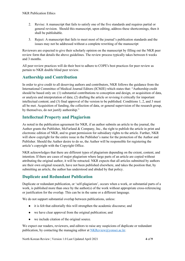- 2. Revise: A manuscript that fails to satisfy one of the five standards and requires partial or general revision. Should this manuscript, upon editing, address these shortcomings, then it shall be publishable.
- 3. Reject: A manuscript that fails to meet most of the journal's publication standards and the issues may not be addressed without a complete rewriting of the manuscript

Reviewers are expected to give their scholarly opinion on the manuscript by filling out the NKR peer review form that details the above guidelines. The review process typically takes between 6 weeks and 3 months.

All peer review practices will do their best to adhere to COPE's best practices for peer review as pertain to NKR double blind peer review.

#### <span id="page-4-0"></span>**Authorship and Contribution**

In order to give credit to all deserving authors and contributors, NKR follows the guidance from the International Committee of Medical Journal Editors (ICMJE) which states that: "Authorship credit should be based only on: (1) substantial contributions to conception and design, or acquisition of data, or analysis and interpretation of data; (2) drafting the article or revising it critically for important intellectual content; and (3) final approval of the version to be published. Conditions 1, 2, and 3 must all be met. Acquisition of funding, the collection of data, or general supervision of the research group, by themselves, do not justify authorship."

#### <span id="page-4-1"></span>**Intellectual Property and Plagiarism**

As noted in the publication agreement for NKR, if an author submits an article to the journal, the Author grants the Publisher, McFarland & Company, Inc., the right to publish the article in print and electronic edition of NKR, and to grant permission for subsidiary rights to the article. Further, NKR will show copyright for the entire issue in the Publisher's name for the protection of the Author and Publisher. Should the Author desire to do so, the Author will be responsible for registering the article's copyright with the Copyright Office.

NKR acknowledges that there are different types of plagiarism depending on the extent, content, and intention. If there are cases of major plagiarism where large parts of an article are copied without attributing the original author, it will be retracted. NKR expects that all articles submitted by authors are their own original research, have not been published elsewhere, and takes the position that, by submitting an article, the author has understood and abided by that policy.

#### <span id="page-4-2"></span>**Duplicate and Redundant Publication**

Duplicate or redundant publication, or 'self-plagiarism', occurs when a work, or substantial parts of a work, is published more than once by the author(s) of the work without appropriate cross-referencing or justification for the overlap. This can be in the same or a different language.

We do not support substantial overlap between publications, unless:

- it is felt that editorially this will strengthen the academic discourse; and
- we have clear approval from the original publication; and
- we include citation of the original source.

We expect our readers, reviewers, and editors to raise any suspicions of duplicate or redundant publication, by contacting the managing editor a[t NKReview@yonsei.ac.kr.](mailto:NKReview@yonsei.ac.kr)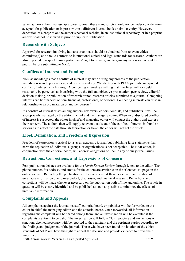When authors submit manuscripts to our journal, these manuscripts should not be under consideration, accepted for publication or in press within a different journal, book or similar entity. However, deposition of a preprint on the author's personal website, in an institutional repository, or in a preprint archive shall not be viewed as prior or duplicate publication.

#### <span id="page-5-0"></span>**Research with Subjects**

Approval for research involving humans or animals should be obtained from relevant ethics committee(s) and should conform to international ethical and legal standards for research. Authors are also expected to respect human participants' right to privacy, and to gain any necessary consent to publish before submitting to NKR.

#### <span id="page-5-1"></span>**Conflicts of Interest and Funding**

NKR acknowledges that a conflict of interest may arise during any process of the publication including research, peer review, and decision making. We identify with PLOS journals' interpreted conflict of interest which states, "A competing interest is anything that interferes with or could reasonably be perceived as interfering with, the full and objective presentation, peer review, editorial decision-making, or publication of research or non-research articles submitted to a journal. Competing interests can be financial or non- financial, professional, or personal. Competing interests can arise in relationship to an organization or another person."

If a conflict of interest arises among authors, reviewers, editors, journals, and publishers, it will be appropriately managed by the editor in chief and the managing editor. When an undisclosed conflict of interest is suspected, the editor in chief and managing editor will contact the authors and express their concern. The authors then will supply relevant details and if the conflict of interest is found so serious as to affect the data through fabrication or flaws, the editor will retract the article.

#### <span id="page-5-2"></span>**Libel, Defamation, and Freedom of Expression**

Freedom of expression is critical to us as an academic journal but publishing false statements that harm the reputation of individuals, groups, or organizations is not acceptable. The NKR editor, in conjunction with the editorial board, will address allegations of libel in any of our journal issues.

#### <span id="page-5-3"></span>**Retractions, Corrections, and Expressions of Concern**

Post-publication debates are available for the *North Korean Review* through letters to the editor. The phone number, fax address, and emails for the editors are available on the 'Contact Us' page on the online website. Retracting the publication will be considered if there is a clear manifestation of unreliable information due to misconduct, plagiarism, and unethical research. Retractions and corrections will be made whenever necessary on the publication both offline and online. The article in question will be clearly identified and be published as soon as possible to minimize the effects of unreliable information.

#### <span id="page-5-4"></span>**Complaints and Appeals**

All complaints against the journal, its staff, editorial board, or publisher will be forwarded to the editor in chief, the managing editor, and the editorial board. Once forwarded, all information regarding the complaint will be shared among them, and an investigation will be executed if the complaints are found to be valid. The investigation will follow COPE practice and any actions or sanctions deemed necessary with be reported to the registrant and the pertinent parties according to the findings and judgement of the journal. Those who have been found in violation of the ethics standards of NKR will have the right to appeal the decision and provide evidence to prove their innocence.

North Korean Review | Version 1.0 Last Updated April 2021 **5** of **9**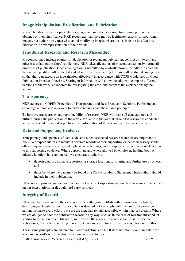#### <span id="page-6-0"></span>**Image Manipulation, Falsification, and Fabrication**

Research data collected or presented as images and modified can sometimes misrepresent the results obtained or their significance. NKR recognizes that there may be legitimate reasons for modifying images, but authors are expected to avoid modifying images where this leads to the falsification, fabrication, or misrepresentation of their results.

#### <span id="page-6-1"></span>**Fraudulent Research and Research Misconduct**

Misconduct may include plagiarism, duplication or redundant publication, conflict of interest, and other issues laid out in Cope's guidelines. NKR takes allegations of misconduct seriously during all processes of publication. Once an allegation is submitted by a whistleblower, the editor in chief and the managing editor will be alerted and all information regarding the case will be shared among them so that they can execute an investigation effectively in accordance with COPE Guidelines on Good Publication Practice if need be. Sharing of information will allow the editors to compare different versions of the work, collaborate in investigating the case, and compare the explanations by the author.

#### <span id="page-6-2"></span>**Transparency**

NKR adheres to COPE's Principles of Transparency and Best Practice in Scholarly Publishing and encourage authors and reviewers to understand and enact these same principles.

To improve transparency and reproducibility of research, NKR will make all data gathered and utilized during the publication of the article available in the journal. If self-led research is conducted and an article addressing it is published, all information of the research will be made available.

#### <span id="page-6-3"></span>**Data and Supporting Evidence**

Transparency and openness of data, code, and other associated research materials are important to NKR. We expect authors to maintain accurate records of their supporting evidence necessary so that others may understand, verify, and replicate new findings, and to supply or provide reasonable access to this supporting evidence. Where appropriate and where allowed by employer, funding body or others who might have an interest, we encourage authors to:

- deposit data in a suitable repository or storage location, for sharing and further use by others; and
- describe where the data may be found in a Data Availability Statement which authors should include in their publication.

NKR aims to provide authors with the ability to connect supporting data with their manuscripts, either on our own platform or through third party services.

#### <span id="page-6-4"></span>**Integrity of Record**

NKR maintains a record of the existence of everything we publish with information (metadata) describing each publication. If our content is deemed not to comply with the laws of a sovereign nation, we make every effort to ensure the metadata remain accessible within that jurisdiction. Where we are obliged to alter the publication record in any way, such as in the case of research misconduct leading to retraction of a publication, we preserve the academic record as far possible. See the Retractions, Corrections and Expressions of Concern herein for information about how we do this.

North Korean Review | Version 1.0 Last Updated April 2021 **6** of **9** These same principles are adhered to in our marketing, and NKR does not modify or manipulate the academic record's representation in our marketing activities.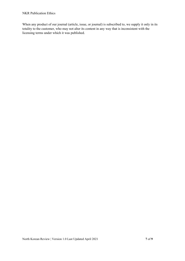When any product of our journal (article, issue, or journal) is subscribed to, we supply it only in its totality to the customer, who may not alter its content in any way that is inconsistent with the licensing terms under which it was published.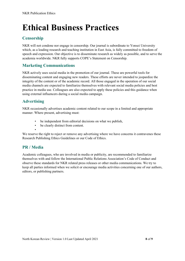# <span id="page-8-0"></span>**Ethical Business Practices**

## <span id="page-8-1"></span>**Censorship**

NKR will not condone nor engage in censorship. Our journal is subordinate to Yonsei University which, as a leading research and teaching institution in East Asia, is fully committed to freedom of speech and expression. Our objective is to disseminate research as widely as possible, and to serve the academia worldwide. NKR fully supports COPE's Statement on Censorship.

#### <span id="page-8-2"></span>**Marketing Communications**

NKR actively uses social media in the promotion of our journal. These are powerful tools for disseminating content and engaging new readers. These efforts are never intended to jeopardize the integrity of the content or of the academic record. All those engaged in the operation of our social media channels are expected to familiarize themselves with relevant social media policies and best practice in media use. Colleagues are also expected to apply these policies and this guidance when using external influencers during a social media campaign.

#### <span id="page-8-3"></span>**Advertising**

NKR occasionally advertises academic content related to our scope in a limited and appropriate manner. Where present, advertising must:

- be independent from editorial decisions on what we publish,
- be clearly distinct from content.

•

We reserve the right to reject or remove any advertising where we have concerns it contravenes these Research Publishing Ethics Guidelines or our Code of Ethics.

#### <span id="page-8-4"></span>**PR / Media**

Academic colleagues, who are involved in media or publicity, are recommended to familiarize themselves with and follow the International Public Relations Association's Code of Conduct and observe these standards for NKR related press releases or other media communications. We try to keep all parties informed when we solicit or encourage media activities concerning one of our authors, editors, or publishing partners.